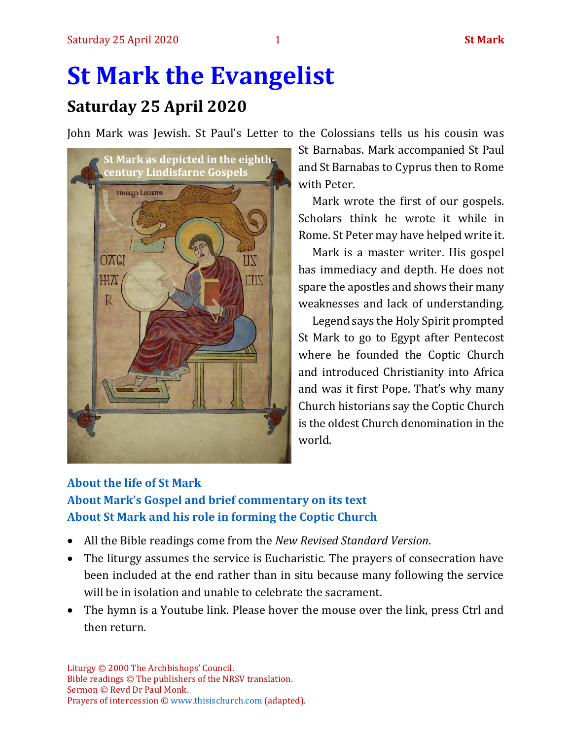# **St Mark the Evangelist**

# **Saturday 25 April 2020**

John Mark was Jewish. St Paul's Letter to the Colossians tells us his cousin was



St Barnabas. Mark accompanied St Paul and St Barnabas to Cyprus then to Rome with Peter.

Mark wrote the first of our gospels. Scholars think he wrote it while in Rome. St Peter may have helped write it.

Mark is a master writer. His gospel has immediacy and depth. He does not spare the apostles and shows their many weaknesses and lack of understanding.

Legend says the Holy Spirit prompted St Mark to go to Egypt after Pentecost where he founded the Coptic Church and introduced Christianity into Africa and was it first Pope. That's why many Church historians say the Coptic Church is the oldest Church denomination in the world.

### **[About the life of St Mark](https://en.wikipedia.org/wiki/Mark_the_Evangelist) [About Mark's Gospel and brief commentary on its text](https://www.easyenglish.bible/bible-commentary/mark-lbw.htm) [About St Mark and his role in forming the Coptic Church](http://www.copticchurch.net/topics/synexarion/mark.html)**

- All the Bible readings come from the *New Revised Standard Version*.
- The liturgy assumes the service is Eucharistic. The prayers of consecration have been included at the end rather than in situ because many following the service will be in isolation and unable to celebrate the sacrament.
- The hymn is a Youtube link. Please hover the mouse over the link, press Ctrl and then return.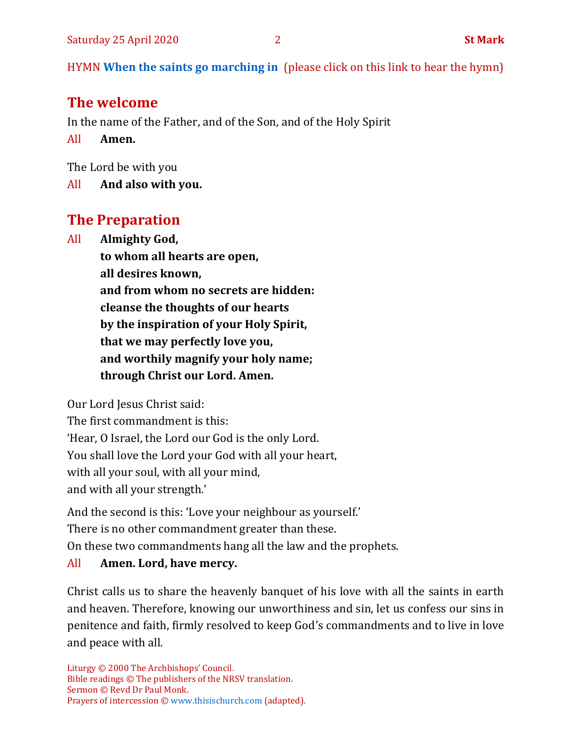HYMN **[When the saints go marching in](https://www.youtube.com/watch?v=lkNPSlQbxNc)** (please click on this link to hear the hymn)

## **The welcome**

In the name of the Father, and of the Son, and of the Holy Spirit

All **Amen.**

The Lord be with you

All **And also with you.**

# **The Preparation**

All **Almighty God, to whom all hearts are open, all desires known, and from whom no secrets are hidden: cleanse the thoughts of our hearts by the inspiration of your Holy Spirit, that we may perfectly love you, and worthily magnify your holy name; through Christ our Lord. Amen.**

Our Lord Jesus Christ said:

The first commandment is this:

'Hear, O Israel, the Lord our God is the only Lord.

You shall love the Lord your God with all your heart,

with all your soul, with all your mind,

and with all your strength.'

And the second is this: 'Love your neighbour as yourself.'

There is no other commandment greater than these.

On these two commandments hang all the law and the prophets.

#### All **Amen. Lord, have mercy.**

Christ calls us to share the heavenly banquet of his love with all the saints in earth and heaven. Therefore, knowing our unworthiness and sin, let us confess our sins in penitence and faith, firmly resolved to keep God's commandments and to live in love and peace with all.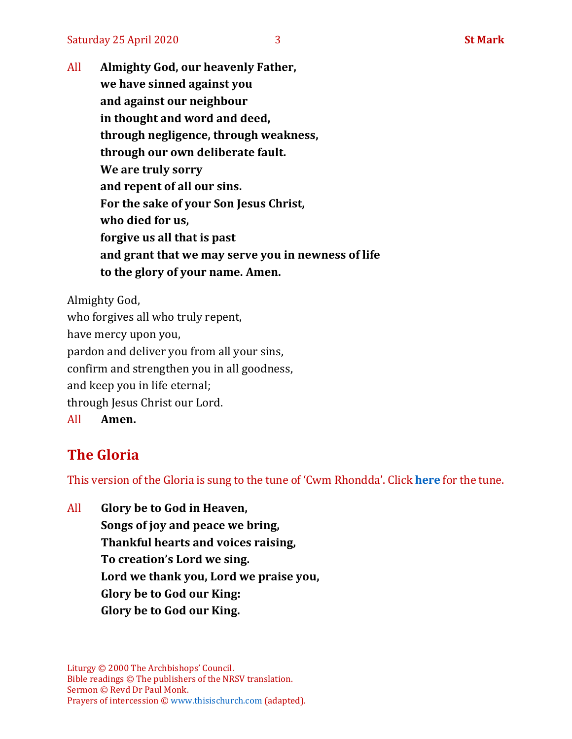All **Almighty God, our heavenly Father, we have sinned against you and against our neighbour in thought and word and deed, through negligence, through weakness, through our own deliberate fault. We are truly sorry and repent of all our sins. For the sake of your Son Jesus Christ, who died for us, forgive us all that is past and grant that we may serve you in newness of life to the glory of your name. Amen.**

Almighty God, who forgives all who truly repent, have mercy upon you, pardon and deliver you from all your sins, confirm and strengthen you in all goodness, and keep you in life eternal; through Jesus Christ our Lord. All **Amen.**

# **The Gloria**

This version of the Gloria is sung to the tune of 'Cwm Rhondda'. Click **[here](https://www.youtube.com/watch?v=BtGhnEwY74E)** for the tune.

All **Glory be to God in Heaven, Songs of joy and peace we bring, Thankful hearts and voices raising, To creation's Lord we sing. Lord we thank you, Lord we praise you, Glory be to God our King: Glory be to God our King.**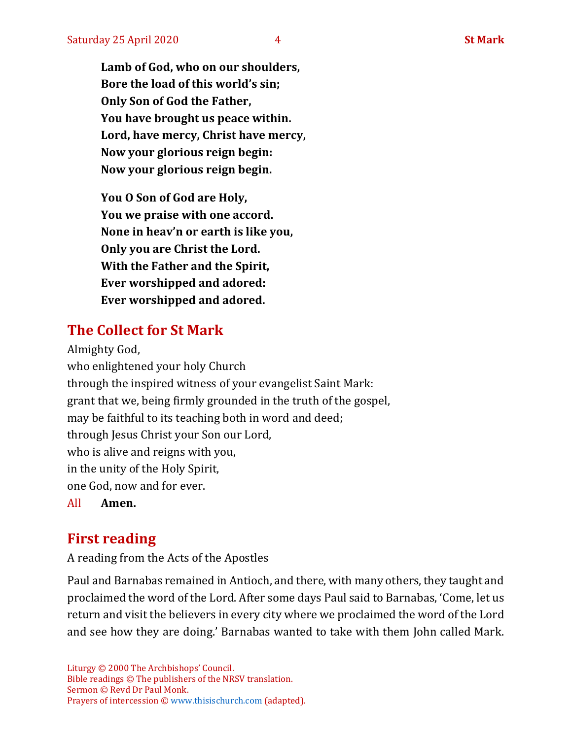**Lamb of God, who on our shoulders, Bore the load of this world's sin; Only Son of God the Father, You have brought us peace within. Lord, have mercy, Christ have mercy, Now your glorious reign begin: Now your glorious reign begin.**

**You O Son of God are Holy, You we praise with one accord. None in heav'n or earth is like you, Only you are Christ the Lord. With the Father and the Spirit, Ever worshipped and adored: Ever worshipped and adored.**

# **The Collect for St Mark**

Almighty God, who enlightened your holy Church through the inspired witness of your evangelist Saint Mark: grant that we, being firmly grounded in the truth of the gospel, may be faithful to its teaching both in word and deed; through Jesus Christ your Son our Lord, who is alive and reigns with you, in the unity of the Holy Spirit, one God, now and for ever.

All **Amen.**

## **First reading**

A reading from the Acts of the Apostles

Paul and Barnabas remained in Antioch, and there, with many others, they taught and proclaimed the word of the Lord. After some days Paul said to Barnabas, 'Come, let us return and visit the believers in every city where we proclaimed the word of the Lord and see how they are doing.' Barnabas wanted to take with them John called Mark.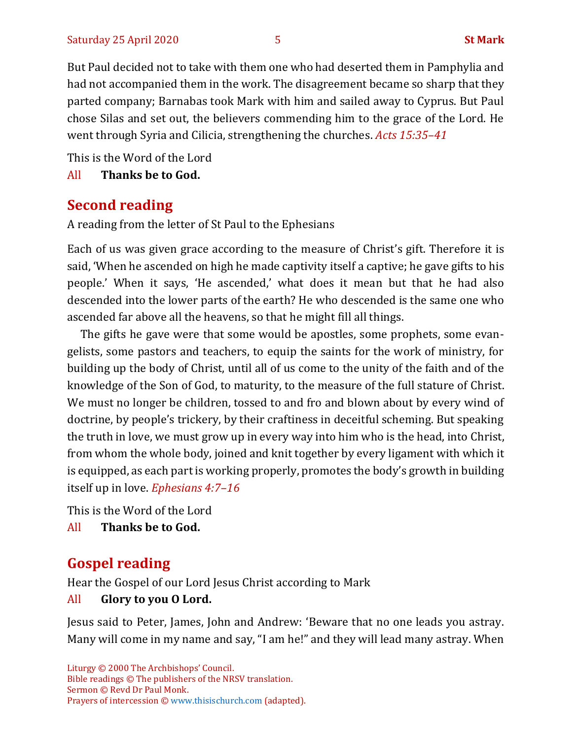But Paul decided not to take with them one who had deserted them in Pamphylia and had not accompanied them in the work. The disagreement became so sharp that they parted company; Barnabas took Mark with him and sailed away to Cyprus. But Paul chose Silas and set out, the believers commending him to the grace of the Lord. He went through Syria and Cilicia, strengthening the churches. *Acts 15:35–41*

This is the Word of the Lord

All **Thanks be to God.**

### **Second reading**

A reading from the letter of St Paul to the Ephesians

Each of us was given grace according to the measure of Christ's gift. Therefore it is said, 'When he ascended on high he made captivity itself a captive; he gave gifts to his people.' When it says, 'He ascended,' what does it mean but that he had also descended into the lower parts of the earth? He who descended is the same one who ascended far above all the heavens, so that he might fill all things.

The gifts he gave were that some would be apostles, some prophets, some evangelists, some pastors and teachers, to equip the saints for the work of ministry, for building up the body of Christ, until all of us come to the unity of the faith and of the knowledge of the Son of God, to maturity, to the measure of the full stature of Christ. We must no longer be children, tossed to and fro and blown about by every wind of doctrine, by people's trickery, by their craftiness in deceitful scheming. But speaking the truth in love, we must grow up in every way into him who is the head, into Christ, from whom the whole body, joined and knit together by every ligament with which it is equipped, as each part is working properly, promotes the body's growth in building itself up in love. *Ephesians 4:7–16*

This is the Word of the Lord

All **Thanks be to God.**

# **Gospel reading**

Hear the Gospel of our Lord Jesus Christ according to Mark

#### All **Glory to you O Lord.**

Jesus said to Peter, James, John and Andrew: 'Beware that no one leads you astray. Many will come in my name and say, "I am he!" and they will lead many astray. When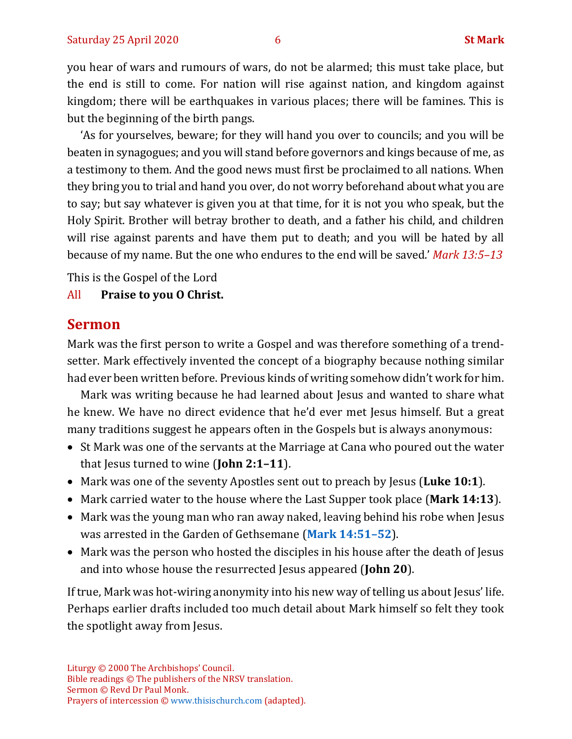you hear of wars and rumours of wars, do not be alarmed; this must take place, but the end is still to come. For nation will rise against nation, and kingdom against kingdom; there will be earthquakes in various places; there will be famines. This is but the beginning of the birth pangs.

'As for yourselves, beware; for they will hand you over to councils; and you will be beaten in synagogues; and you will stand before governors and kings because of me, as a testimony to them. And the good news must first be proclaimed to all nations. When they bring you to trial and hand you over, do not worry beforehand about what you are to say; but say whatever is given you at that time, for it is not you who speak, but the Holy Spirit. Brother will betray brother to death, and a father his child, and children will rise against parents and have them put to death; and you will be hated by all because of my name. But the one who endures to the end will be saved.' *Mark 13:5–13*

This is the Gospel of the Lord

#### All **Praise to you O Christ.**

#### **Sermon**

Mark was the first person to write a Gospel and was therefore something of a trendsetter. Mark effectively invented the concept of a biography because nothing similar had ever been written before. Previous kinds of writing somehow didn't work for him.

Mark was writing because he had learned about Jesus and wanted to share what he knew. We have no direct evidence that he'd ever met Jesus himself. But a great many traditions suggest he appears often in the Gospels but is always anonymous:

- St Mark was one of the servants at the Marriage at Cana who poured out the water that Jesus turned to wine (**John 2:1–11**).
- Mark was one of the seventy Apostles sent out to preach by Jesus (**Luke 10:1**).
- Mark carried water to the house where the Last Supper took place (**Mark 14:13**).
- Mark was the young man who ran away naked, leaving behind his robe when Jesus was arrested in the Garden of Gethsemane (**[Mark 14:51](https://biblehub.com/commentaries/mark/14-51.htm)–52**).
- Mark was the person who hosted the disciples in his house after the death of Jesus and into whose house the resurrected Jesus appeared (**John 20**).

If true, Mark was hot-wiring anonymity into his new way of telling us about Jesus' life. Perhaps earlier drafts included too much detail about Mark himself so felt they took the spotlight away from Jesus.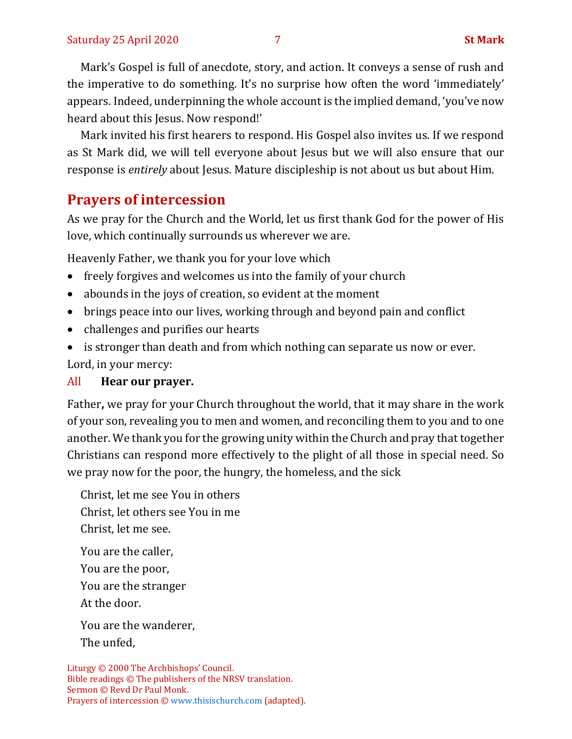Mark's Gospel is full of anecdote, story, and action. It conveys a sense of rush and the imperative to do something. It's no surprise how often the word 'immediately' appears. Indeed, underpinning the whole account is the implied demand, 'you've now heard about this Jesus. Now respond!'

Mark invited his first hearers to respond. His Gospel also invites us. If we respond as St Mark did, we will tell everyone about Jesus but we will also ensure that our response is *entirely* about Jesus. Mature discipleship is not about us but about Him.

## **Prayers of intercession**

As we pray for the Church and the World, let us first thank God for the power of His love, which continually surrounds us wherever we are.

Heavenly Father, we thank you for your love which

- freely forgives and welcomes us into the family of your church
- abounds in the joys of creation, so evident at the moment
- brings peace into our lives, working through and beyond pain and conflict
- challenges and purifies our hearts
- is stronger than death and from which nothing can separate us now or ever. Lord, in your mercy:

#### All **Hear our prayer.**

Father**,** we pray for your Church throughout the world, that it may share in the work of your son, revealing you to men and women, and reconciling them to you and to one another. We thank you for the growing unity within the Church and pray that together Christians can respond more effectively to the plight of all those in special need. So we pray now for the poor, the hungry, the homeless, and the sick

Christ, let me see You in others Christ, let others see You in me Christ, let me see.

You are the caller, You are the poor, You are the stranger At the door.

You are the wanderer, The unfed,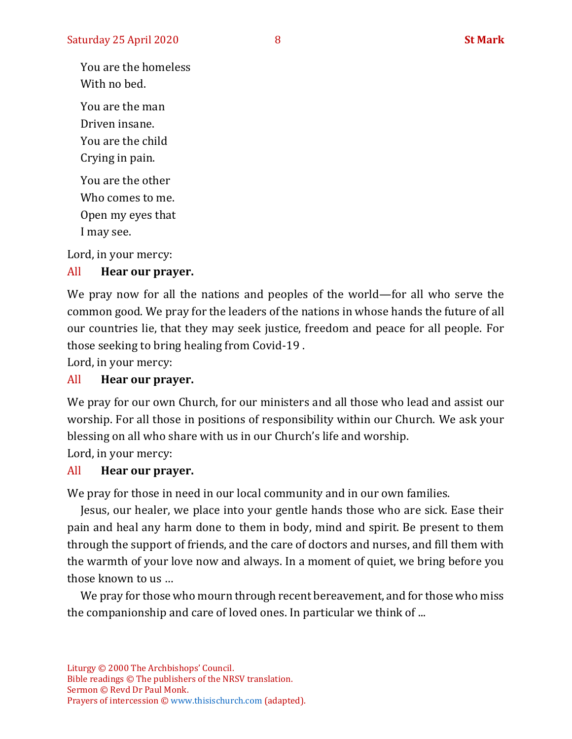You are the homeless With no hed

You are the man Driven insane. You are the child Crying in pain. You are the other Who comes to me. Open my eyes that

I may see.

Lord, in your mercy:

#### All **Hear our prayer.**

We pray now for all the nations and peoples of the world—for all who serve the common good. We pray for the leaders of the nations in whose hands the future of all our countries lie, that they may seek justice, freedom and peace for all people. For those seeking to bring healing from Covid-19 .

Lord, in your mercy:

#### All **Hear our prayer.**

We pray for our own Church, for our ministers and all those who lead and assist our worship. For all those in positions of responsibility within our Church. We ask your blessing on all who share with us in our Church's life and worship.

Lord, in your mercy:

#### All **Hear our prayer.**

We pray for those in need in our local community and in our own families.

Jesus, our healer, we place into your gentle hands those who are sick. Ease their pain and heal any harm done to them in body, mind and spirit. Be present to them through the support of friends, and the care of doctors and nurses, and fill them with the warmth of your love now and always. In a moment of quiet, we bring before you those known to us …

We pray for those who mourn through recent bereavement, and for those who miss the companionship and care of loved ones. In particular we think of ...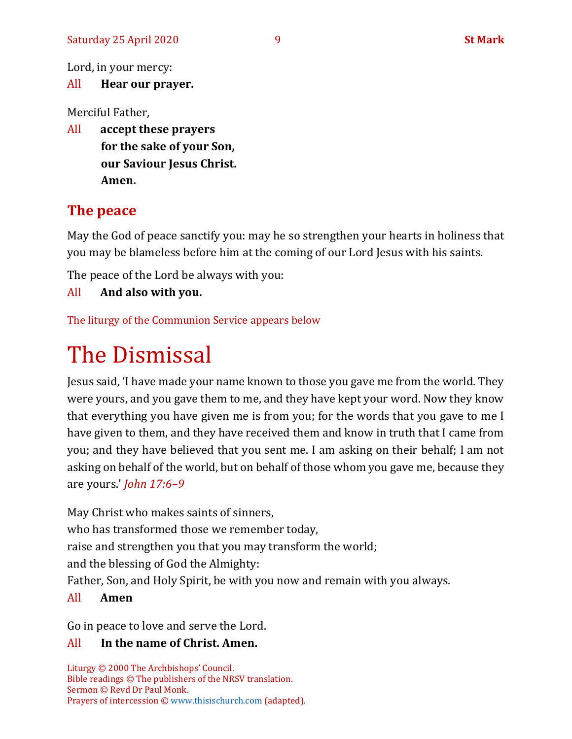Lord, in your mercy:

#### All **Hear our prayer.**

Merciful Father,

All **accept these prayers for the sake of your Son, our Saviour Jesus Christ. Amen.**

# **The peace**

May the God of peace sanctify you: may he so strengthen your hearts in holiness that you may be blameless before him at the coming of our Lord Jesus with his saints.

The peace of the Lord be always with you:

All **And also with you.**

The liturgy of the Communion Service appears below

# The Dismissal

Jesus said, 'I have made your name known to those you gave me from the world. They were yours, and you gave them to me, and they have kept your word. Now they know that everything you have given me is from you; for the words that you gave to me I have given to them, and they have received them and know in truth that I came from you; and they have believed that you sent me. I am asking on their behalf; I am not asking on behalf of the world, but on behalf of those whom you gave me, because they are yours.' *John 17:6–9*

May Christ who makes saints of sinners, who has transformed those we remember today, raise and strengthen you that you may transform the world; and the blessing of God the Almighty: Father, Son, and Holy Spirit, be with you now and remain with you always. All **Amen**

Go in peace to love and serve the Lord.

#### All **In the name of Christ. Amen.**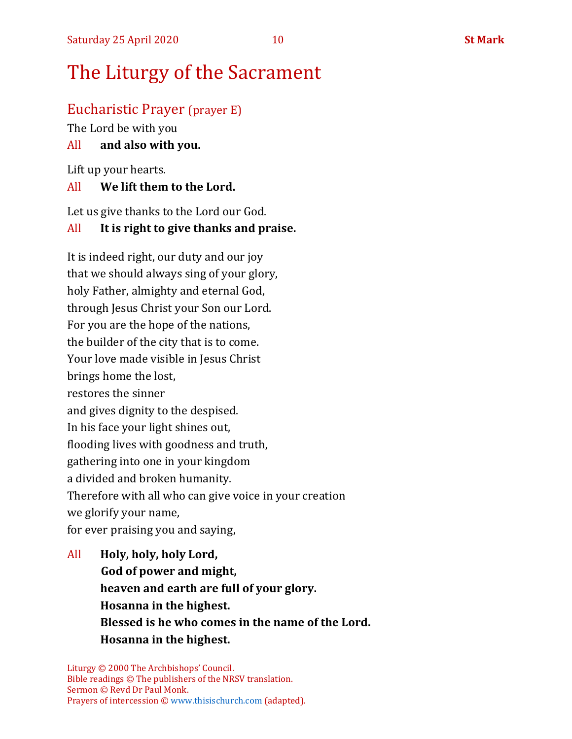# The Liturgy of the Sacrament

# Eucharistic Prayer (prayer E)

The Lord be with you

## All **and also with you.**

Lift up your hearts.

## All **We lift them to the Lord.**

Let us give thanks to the Lord our God.

## All **It is right to give thanks and praise.**

It is indeed right, our duty and our joy that we should always sing of your glory, holy Father, almighty and eternal God, through Jesus Christ your Son our Lord. For you are the hope of the nations, the builder of the city that is to come. Your love made visible in Jesus Christ brings home the lost, restores the sinner and gives dignity to the despised. In his face your light shines out, flooding lives with goodness and truth, gathering into one in your kingdom a divided and broken humanity. Therefore with all who can give voice in your creation we glorify your name, for ever praising you and saying,

All **Holy, holy, holy Lord, God of power and might, heaven and earth are full of your glory. Hosanna in the highest. Blessed is he who comes in the name of the Lord. Hosanna in the highest.**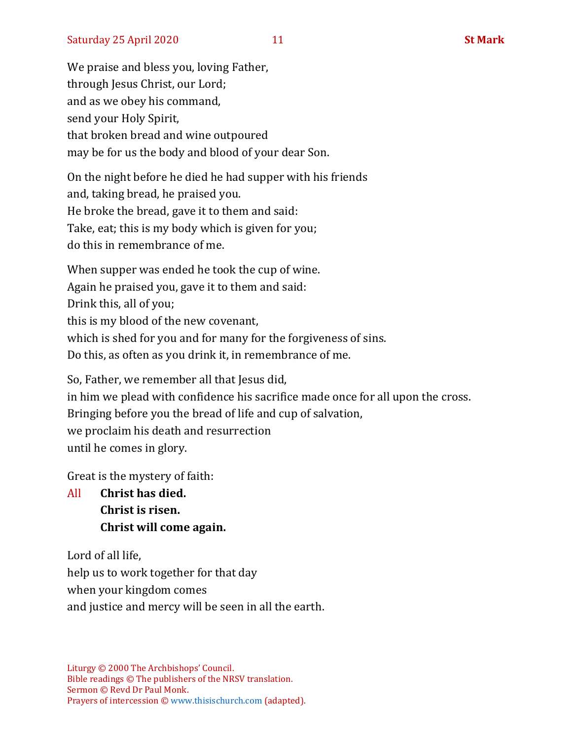We praise and bless you, loving Father, through Jesus Christ, our Lord; and as we obey his command, send your Holy Spirit, that broken bread and wine outpoured may be for us the body and blood of your dear Son.

On the night before he died he had supper with his friends and, taking bread, he praised you. He broke the bread, gave it to them and said: Take, eat; this is my body which is given for you; do this in remembrance of me.

When supper was ended he took the cup of wine. Again he praised you, gave it to them and said: Drink this, all of you; this is my blood of the new covenant, which is shed for you and for many for the forgiveness of sins. Do this, as often as you drink it, in remembrance of me.

So, Father, we remember all that Jesus did, in him we plead with confidence his sacrifice made once for all upon the cross. Bringing before you the bread of life and cup of salvation, we proclaim his death and resurrection until he comes in glory.

Great is the mystery of faith:

All **Christ has died. Christ is risen. Christ will come again.**

Lord of all life, help us to work together for that day when your kingdom comes and justice and mercy will be seen in all the earth.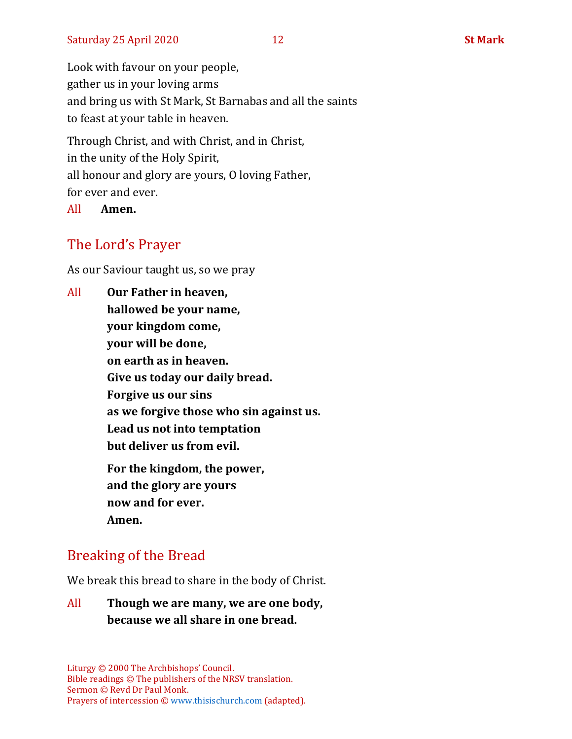Look with favour on your people, gather us in your loving arms and bring us with St Mark, St Barnabas and all the saints to feast at your table in heaven.

Through Christ, and with Christ, and in Christ, in the unity of the Holy Spirit, all honour and glory are yours, O loving Father, for ever and ever.

All **Amen.**

# The Lord's Prayer

As our Saviour taught us, so we pray

All **Our Father in heaven, hallowed be your name, your kingdom come, your will be done, on earth as in heaven. Give us today our daily bread. Forgive us our sins as we forgive those who sin against us. Lead us not into temptation but deliver us from evil. For the kingdom, the power, and the glory are yours now and for ever. Amen.**

# Breaking of the Bread

We break this bread to share in the body of Christ.

All **Though we are many, we are one body, because we all share in one bread.**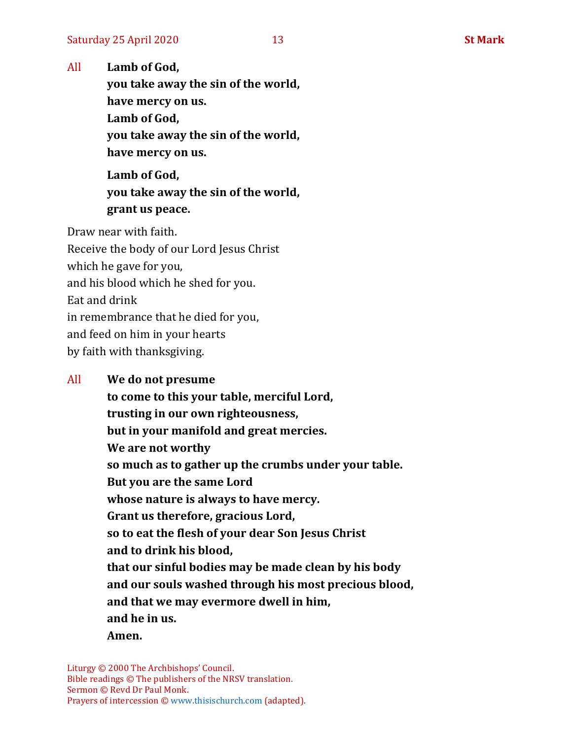All **Lamb of God,**

**you take away the sin of the world, have mercy on us.**

**Lamb of God,** 

**you take away the sin of the world,** 

**have mercy on us.**

**Lamb of God, you take away the sin of the world, grant us peace.**

Draw near with faith.

Receive the body of our Lord Jesus Christ which he gave for you,

and his blood which he shed for you.

Eat and drink

in remembrance that he died for you,

and feed on him in your hearts

by faith with thanksgiving.

All **We do not presume**

**to come to this your table, merciful Lord, trusting in our own righteousness, but in your manifold and great mercies. We are not worthy so much as to gather up the crumbs under your table. But you are the same Lord whose nature is always to have mercy. Grant us therefore, gracious Lord, so to eat the flesh of your dear Son Jesus Christ and to drink his blood, that our sinful bodies may be made clean by his body and our souls washed through his most precious blood, and that we may evermore dwell in him, and he in us. Amen.**